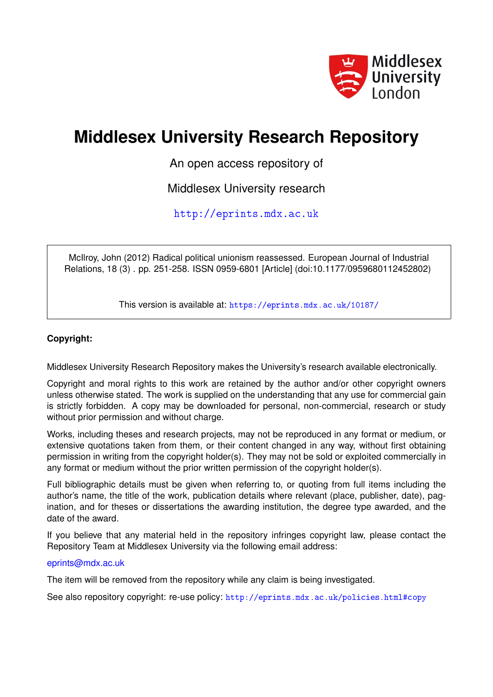

# **Middlesex University Research Repository**

An open access repository of

Middlesex University research

<http://eprints.mdx.ac.uk>

McIlroy, John (2012) Radical political unionism reassessed. European Journal of Industrial Relations, 18 (3) . pp. 251-258. ISSN 0959-6801 [Article] (doi:10.1177/0959680112452802)

This version is available at: <https://eprints.mdx.ac.uk/10187/>

## **Copyright:**

Middlesex University Research Repository makes the University's research available electronically.

Copyright and moral rights to this work are retained by the author and/or other copyright owners unless otherwise stated. The work is supplied on the understanding that any use for commercial gain is strictly forbidden. A copy may be downloaded for personal, non-commercial, research or study without prior permission and without charge.

Works, including theses and research projects, may not be reproduced in any format or medium, or extensive quotations taken from them, or their content changed in any way, without first obtaining permission in writing from the copyright holder(s). They may not be sold or exploited commercially in any format or medium without the prior written permission of the copyright holder(s).

Full bibliographic details must be given when referring to, or quoting from full items including the author's name, the title of the work, publication details where relevant (place, publisher, date), pagination, and for theses or dissertations the awarding institution, the degree type awarded, and the date of the award.

If you believe that any material held in the repository infringes copyright law, please contact the Repository Team at Middlesex University via the following email address:

## [eprints@mdx.ac.uk](mailto:eprints@mdx.ac.uk)

The item will be removed from the repository while any claim is being investigated.

See also repository copyright: re-use policy: <http://eprints.mdx.ac.uk/policies.html#copy>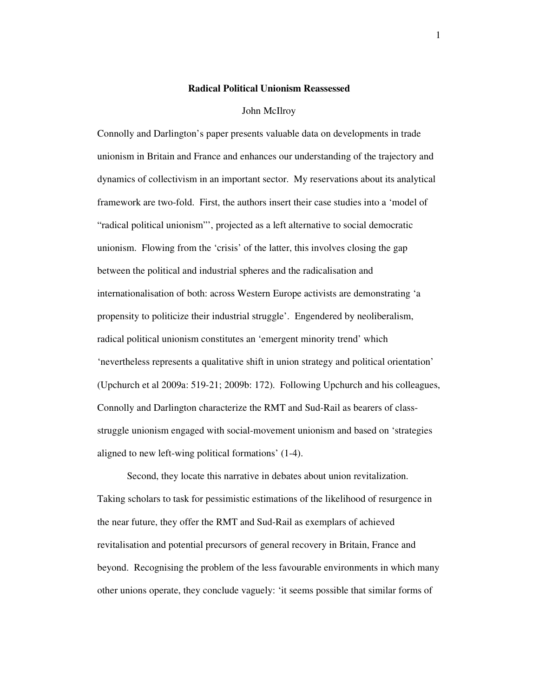#### **Radical Political Unionism Reassessed**

#### John McIlroy

Connolly and Darlington's paper presents valuable data on developments in trade unionism in Britain and France and enhances our understanding of the trajectory and dynamics of collectivism in an important sector. My reservations about its analytical framework are two-fold. First, the authors insert their case studies into a 'model of "radical political unionism"', projected as a left alternative to social democratic unionism. Flowing from the 'crisis' of the latter, this involves closing the gap between the political and industrial spheres and the radicalisation and internationalisation of both: across Western Europe activists are demonstrating 'a propensity to politicize their industrial struggle'. Engendered by neoliberalism, radical political unionism constitutes an 'emergent minority trend' which 'nevertheless represents a qualitative shift in union strategy and political orientation' (Upchurch et al 2009a: 519-21; 2009b: 172). Following Upchurch and his colleagues, Connolly and Darlington characterize the RMT and Sud-Rail as bearers of classstruggle unionism engaged with social-movement unionism and based on 'strategies aligned to new left-wing political formations' (1-4).

 Second, they locate this narrative in debates about union revitalization. Taking scholars to task for pessimistic estimations of the likelihood of resurgence in the near future, they offer the RMT and Sud-Rail as exemplars of achieved revitalisation and potential precursors of general recovery in Britain, France and beyond. Recognising the problem of the less favourable environments in which many other unions operate, they conclude vaguely: 'it seems possible that similar forms of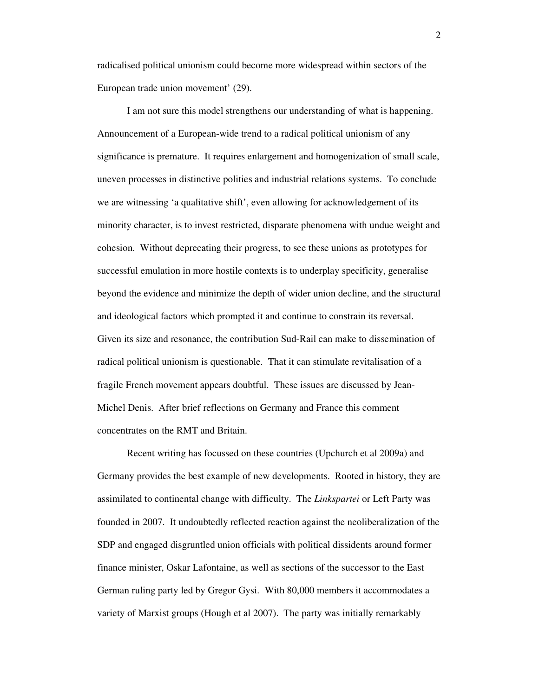radicalised political unionism could become more widespread within sectors of the European trade union movement' (29).

 I am not sure this model strengthens our understanding of what is happening. Announcement of a European-wide trend to a radical political unionism of any significance is premature. It requires enlargement and homogenization of small scale, uneven processes in distinctive polities and industrial relations systems. To conclude we are witnessing 'a qualitative shift', even allowing for acknowledgement of its minority character, is to invest restricted, disparate phenomena with undue weight and cohesion. Without deprecating their progress, to see these unions as prototypes for successful emulation in more hostile contexts is to underplay specificity, generalise beyond the evidence and minimize the depth of wider union decline, and the structural and ideological factors which prompted it and continue to constrain its reversal. Given its size and resonance, the contribution Sud-Rail can make to dissemination of radical political unionism is questionable. That it can stimulate revitalisation of a fragile French movement appears doubtful. These issues are discussed by Jean-Michel Denis. After brief reflections on Germany and France this comment concentrates on the RMT and Britain.

 Recent writing has focussed on these countries (Upchurch et al 2009a) and Germany provides the best example of new developments. Rooted in history, they are assimilated to continental change with difficulty. The *Linkspartei* or Left Party was founded in 2007. It undoubtedly reflected reaction against the neoliberalization of the SDP and engaged disgruntled union officials with political dissidents around former finance minister, Oskar Lafontaine, as well as sections of the successor to the East German ruling party led by Gregor Gysi. With 80,000 members it accommodates a variety of Marxist groups (Hough et al 2007). The party was initially remarkably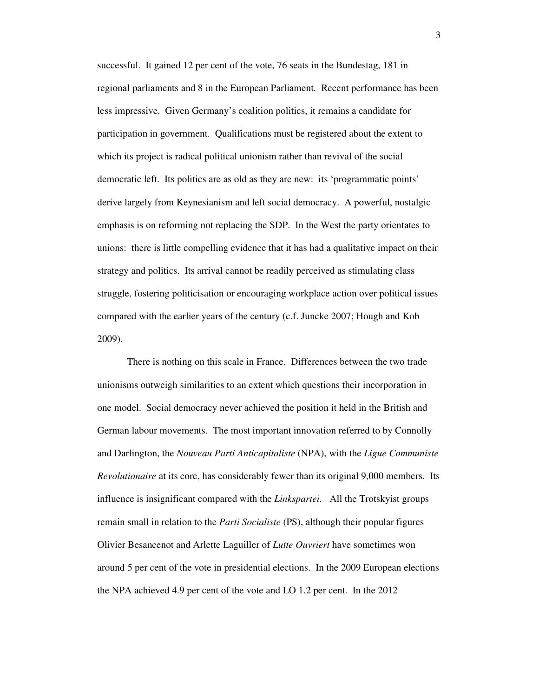successful. It gained 12 per cent of the vote, 76 seats in the Bundestag, 181 in regional parliaments and 8 in the European Parliament. Recent performance has been less impressive. Given Germany's coalition politics, it remains a candidate for participation in government. Qualifications must be registered about the extent to which its project is radical political unionism rather than revival of the social democratic left. Its politics are as old as they are new: its 'programmatic points' derive largely from Keynesianism and left social democracy. A powerful, nostalgic emphasis is on reforming not replacing the SDP. In the West the party orientates to unions: there is little compelling evidence that it has had a qualitative impact on their strategy and politics. Its arrival cannot be readily perceived as stimulating class struggle, fostering politicisation or encouraging workplace action over political issues compared with the earlier years of the century (c.f. Juncke 2007; Hough and Kob 2009).

 There is nothing on this scale in France. Differences between the two trade unionisms outweigh similarities to an extent which questions their incorporation in one model. Social democracy never achieved the position it held in the British and German labour movements. The most important innovation referred to by Connolly and Darlington, the *Nouveau Parti Anticapitaliste* (NPA), with the *Ligue Communiste Revolutionaire* at its core, has considerably fewer than its original 9,000 members. Its influence is insignificant compared with the *Linkspartei*. All the Trotskyist groups remain small in relation to the *Parti Socialiste* (PS), although their popular figures Olivier Besancenot and Arlette Laguiller of *Lutte Ouvriert* have sometimes won around 5 per cent of the vote in presidential elections. In the 2009 European elections the NPA achieved 4.9 per cent of the vote and LO 1.2 per cent. In the 2012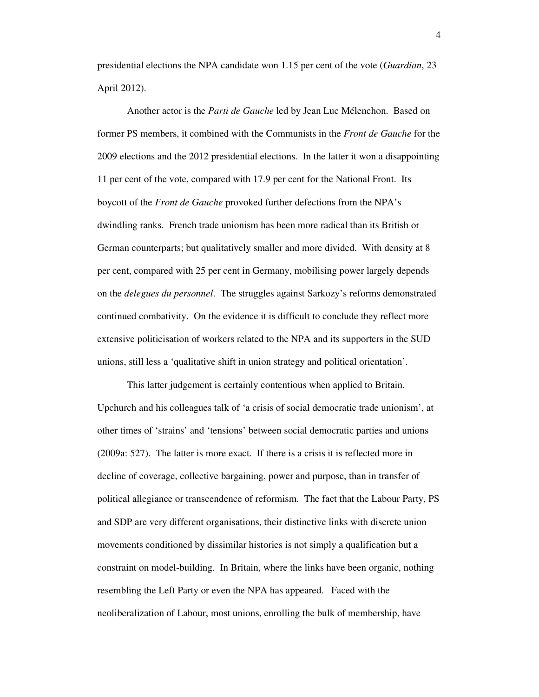presidential elections the NPA candidate won 1.15 per cent of the vote (*Guardian*, 23 April 2012).

 Another actor is the *Parti de Gauche* led by Jean Luc Mélenchon. Based on former PS members, it combined with the Communists in the *Front de Gauche* for the 2009 elections and the 2012 presidential elections. In the latter it won a disappointing 11 per cent of the vote, compared with 17.9 per cent for the National Front. Its boycott of the *Front de Gauche* provoked further defections from the NPA's dwindling ranks. French trade unionism has been more radical than its British or German counterparts; but qualitatively smaller and more divided. With density at 8 per cent, compared with 25 per cent in Germany, mobilising power largely depends on the *delegues du personnel*. The struggles against Sarkozy's reforms demonstrated continued combativity. On the evidence it is difficult to conclude they reflect more extensive politicisation of workers related to the NPA and its supporters in the SUD unions, still less a 'qualitative shift in union strategy and political orientation'.

 This latter judgement is certainly contentious when applied to Britain. Upchurch and his colleagues talk of 'a crisis of social democratic trade unionism', at other times of 'strains' and 'tensions' between social democratic parties and unions (2009a: 527). The latter is more exact. If there is a crisis it is reflected more in decline of coverage, collective bargaining, power and purpose, than in transfer of political allegiance or transcendence of reformism. The fact that the Labour Party, PS and SDP are very different organisations, their distinctive links with discrete union movements conditioned by dissimilar histories is not simply a qualification but a constraint on model-building. In Britain, where the links have been organic, nothing resembling the Left Party or even the NPA has appeared. Faced with the neoliberalization of Labour, most unions, enrolling the bulk of membership, have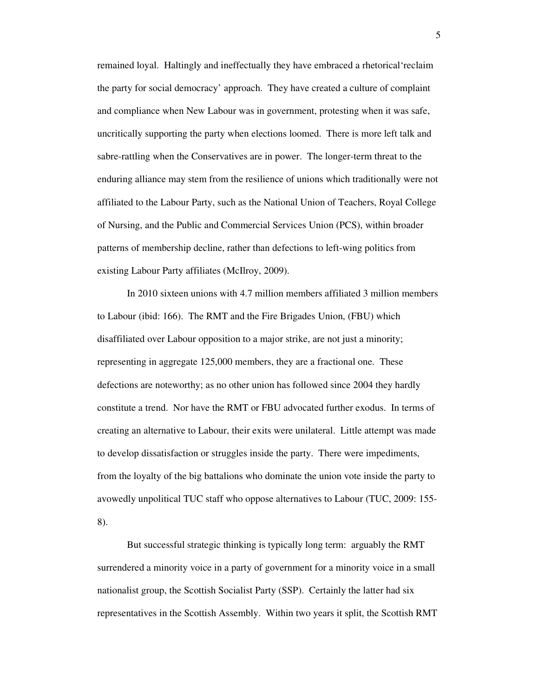remained loyal. Haltingly and ineffectually they have embraced a rhetorical'reclaim the party for social democracy' approach. They have created a culture of complaint and compliance when New Labour was in government, protesting when it was safe, uncritically supporting the party when elections loomed. There is more left talk and sabre-rattling when the Conservatives are in power. The longer-term threat to the enduring alliance may stem from the resilience of unions which traditionally were not affiliated to the Labour Party, such as the National Union of Teachers, Royal College of Nursing, and the Public and Commercial Services Union (PCS), within broader patterns of membership decline, rather than defections to left-wing politics from existing Labour Party affiliates (McIlroy, 2009).

 In 2010 sixteen unions with 4.7 million members affiliated 3 million members to Labour (ibid: 166). The RMT and the Fire Brigades Union, (FBU) which disaffiliated over Labour opposition to a major strike, are not just a minority; representing in aggregate 125,000 members, they are a fractional one. These defections are noteworthy; as no other union has followed since 2004 they hardly constitute a trend. Nor have the RMT or FBU advocated further exodus. In terms of creating an alternative to Labour, their exits were unilateral. Little attempt was made to develop dissatisfaction or struggles inside the party. There were impediments, from the loyalty of the big battalions who dominate the union vote inside the party to avowedly unpolitical TUC staff who oppose alternatives to Labour (TUC, 2009: 155- 8).

But successful strategic thinking is typically long term: arguably the RMT surrendered a minority voice in a party of government for a minority voice in a small nationalist group, the Scottish Socialist Party (SSP). Certainly the latter had six representatives in the Scottish Assembly. Within two years it split, the Scottish RMT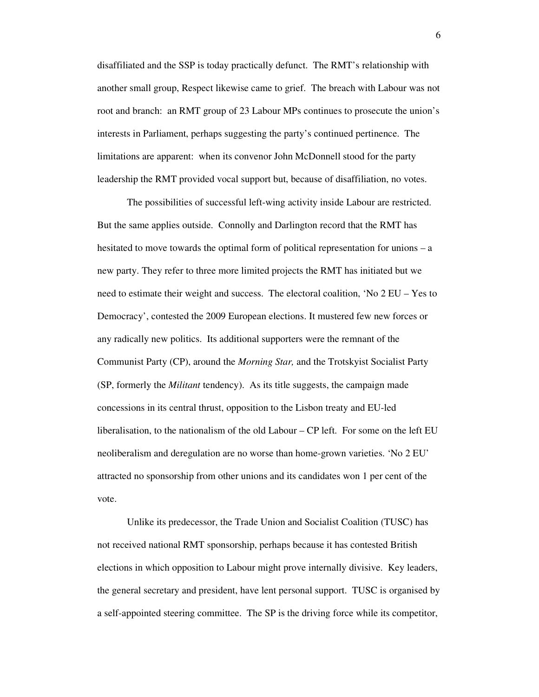disaffiliated and the SSP is today practically defunct. The RMT's relationship with another small group, Respect likewise came to grief. The breach with Labour was not root and branch: an RMT group of 23 Labour MPs continues to prosecute the union's interests in Parliament, perhaps suggesting the party's continued pertinence. The limitations are apparent: when its convenor John McDonnell stood for the party leadership the RMT provided vocal support but, because of disaffiliation, no votes.

 The possibilities of successful left-wing activity inside Labour are restricted. But the same applies outside. Connolly and Darlington record that the RMT has hesitated to move towards the optimal form of political representation for unions – a new party. They refer to three more limited projects the RMT has initiated but we need to estimate their weight and success. The electoral coalition, 'No 2 EU – Yes to Democracy', contested the 2009 European elections. It mustered few new forces or any radically new politics. Its additional supporters were the remnant of the Communist Party (CP), around the *Morning Star,* and the Trotskyist Socialist Party (SP, formerly the *Militant* tendency). As its title suggests, the campaign made concessions in its central thrust, opposition to the Lisbon treaty and EU-led liberalisation, to the nationalism of the old Labour – CP left. For some on the left EU neoliberalism and deregulation are no worse than home-grown varieties. 'No 2 EU' attracted no sponsorship from other unions and its candidates won 1 per cent of the vote.

 Unlike its predecessor, the Trade Union and Socialist Coalition (TUSC) has not received national RMT sponsorship, perhaps because it has contested British elections in which opposition to Labour might prove internally divisive. Key leaders, the general secretary and president, have lent personal support. TUSC is organised by a self-appointed steering committee. The SP is the driving force while its competitor,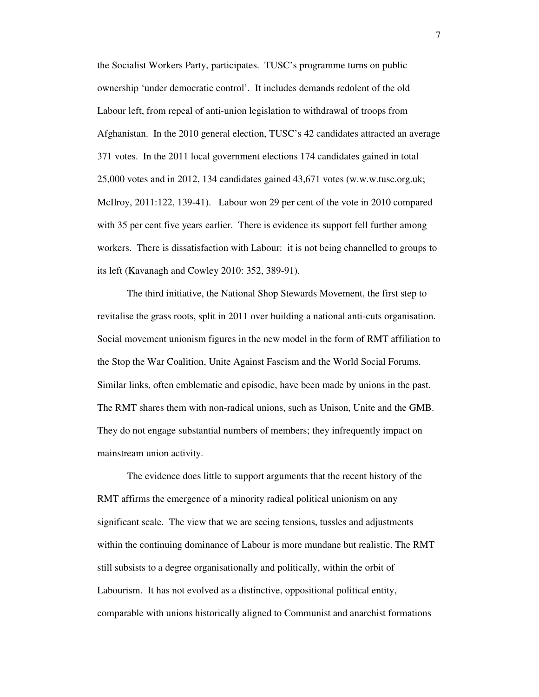the Socialist Workers Party, participates. TUSC's programme turns on public ownership 'under democratic control'. It includes demands redolent of the old Labour left, from repeal of anti-union legislation to withdrawal of troops from Afghanistan. In the 2010 general election, TUSC's 42 candidates attracted an average 371 votes. In the 2011 local government elections 174 candidates gained in total 25,000 votes and in 2012, 134 candidates gained 43,671 votes (w.w.w.tusc.org.uk; McIlroy, 2011:122, 139-41). Labour won 29 per cent of the vote in 2010 compared with 35 per cent five years earlier. There is evidence its support fell further among workers. There is dissatisfaction with Labour: it is not being channelled to groups to its left (Kavanagh and Cowley 2010: 352, 389-91).

The third initiative, the National Shop Stewards Movement, the first step to revitalise the grass roots, split in 2011 over building a national anti-cuts organisation. Social movement unionism figures in the new model in the form of RMT affiliation to the Stop the War Coalition, Unite Against Fascism and the World Social Forums. Similar links, often emblematic and episodic, have been made by unions in the past. The RMT shares them with non-radical unions, such as Unison, Unite and the GMB. They do not engage substantial numbers of members; they infrequently impact on mainstream union activity.

 The evidence does little to support arguments that the recent history of the RMT affirms the emergence of a minority radical political unionism on any significant scale. The view that we are seeing tensions, tussles and adjustments within the continuing dominance of Labour is more mundane but realistic. The RMT still subsists to a degree organisationally and politically, within the orbit of Labourism. It has not evolved as a distinctive, oppositional political entity, comparable with unions historically aligned to Communist and anarchist formations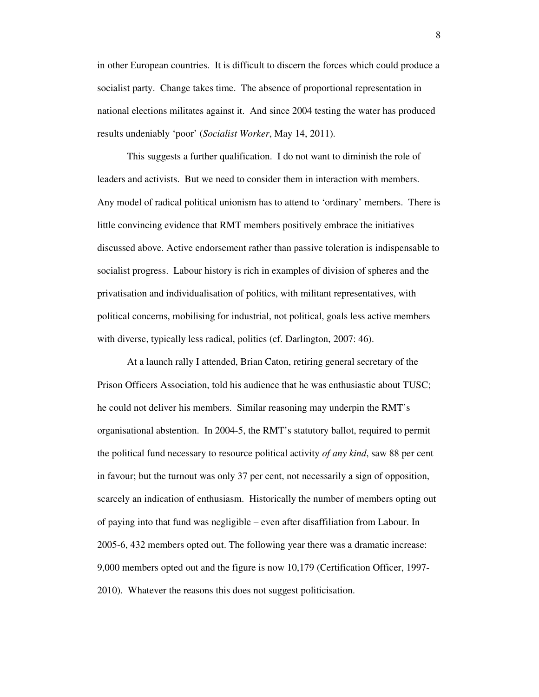in other European countries. It is difficult to discern the forces which could produce a socialist party. Change takes time. The absence of proportional representation in national elections militates against it. And since 2004 testing the water has produced results undeniably 'poor' (*Socialist Worker*, May 14, 2011).

 This suggests a further qualification. I do not want to diminish the role of leaders and activists. But we need to consider them in interaction with members. Any model of radical political unionism has to attend to 'ordinary' members. There is little convincing evidence that RMT members positively embrace the initiatives discussed above. Active endorsement rather than passive toleration is indispensable to socialist progress. Labour history is rich in examples of division of spheres and the privatisation and individualisation of politics, with militant representatives, with political concerns, mobilising for industrial, not political, goals less active members with diverse, typically less radical, politics (cf. Darlington, 2007: 46).

 At a launch rally I attended, Brian Caton, retiring general secretary of the Prison Officers Association, told his audience that he was enthusiastic about TUSC; he could not deliver his members. Similar reasoning may underpin the RMT's organisational abstention. In 2004-5, the RMT's statutory ballot, required to permit the political fund necessary to resource political activity *of any kind*, saw 88 per cent in favour; but the turnout was only 37 per cent, not necessarily a sign of opposition, scarcely an indication of enthusiasm. Historically the number of members opting out of paying into that fund was negligible – even after disaffiliation from Labour. In 2005-6, 432 members opted out. The following year there was a dramatic increase: 9,000 members opted out and the figure is now 10,179 (Certification Officer, 1997- 2010). Whatever the reasons this does not suggest politicisation.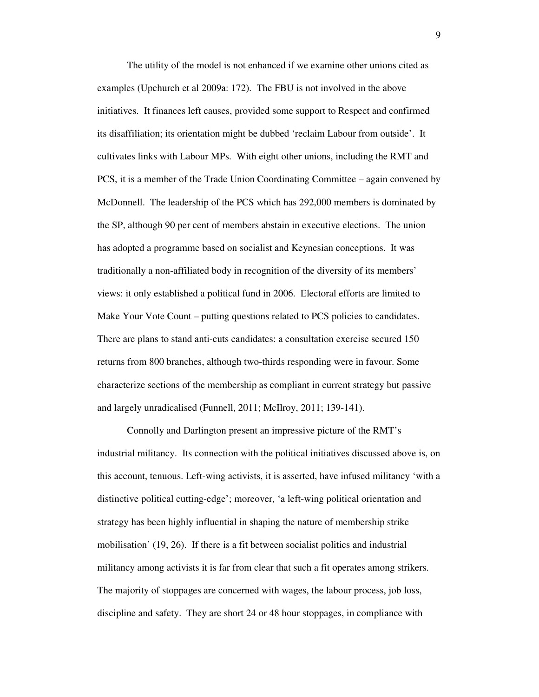The utility of the model is not enhanced if we examine other unions cited as examples (Upchurch et al 2009a: 172). The FBU is not involved in the above initiatives. It finances left causes, provided some support to Respect and confirmed its disaffiliation; its orientation might be dubbed 'reclaim Labour from outside'. It cultivates links with Labour MPs. With eight other unions, including the RMT and PCS, it is a member of the Trade Union Coordinating Committee – again convened by McDonnell. The leadership of the PCS which has 292,000 members is dominated by the SP, although 90 per cent of members abstain in executive elections. The union has adopted a programme based on socialist and Keynesian conceptions. It was traditionally a non-affiliated body in recognition of the diversity of its members' views: it only established a political fund in 2006. Electoral efforts are limited to Make Your Vote Count – putting questions related to PCS policies to candidates. There are plans to stand anti-cuts candidates: a consultation exercise secured 150 returns from 800 branches, although two-thirds responding were in favour. Some characterize sections of the membership as compliant in current strategy but passive and largely unradicalised (Funnell, 2011; McIlroy, 2011; 139-141).

 Connolly and Darlington present an impressive picture of the RMT's industrial militancy. Its connection with the political initiatives discussed above is, on this account, tenuous. Left-wing activists, it is asserted, have infused militancy 'with a distinctive political cutting-edge'; moreover, 'a left-wing political orientation and strategy has been highly influential in shaping the nature of membership strike mobilisation' (19, 26). If there is a fit between socialist politics and industrial militancy among activists it is far from clear that such a fit operates among strikers. The majority of stoppages are concerned with wages, the labour process, job loss, discipline and safety. They are short 24 or 48 hour stoppages, in compliance with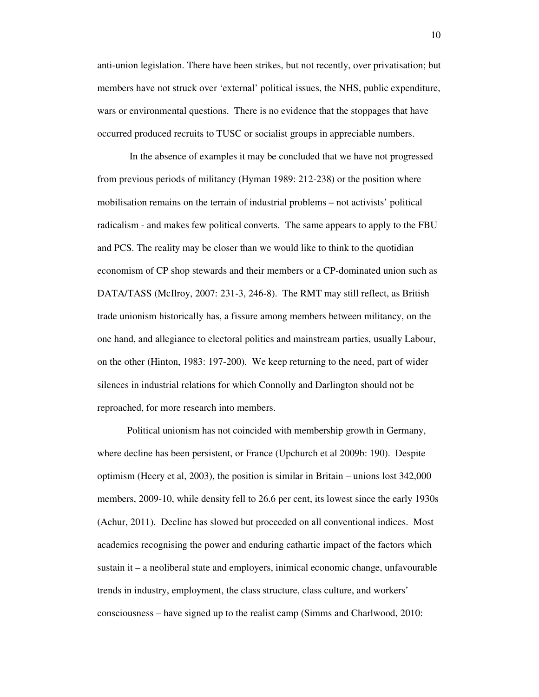anti-union legislation. There have been strikes, but not recently, over privatisation; but members have not struck over 'external' political issues, the NHS, public expenditure, wars or environmental questions. There is no evidence that the stoppages that have occurred produced recruits to TUSC or socialist groups in appreciable numbers.

 In the absence of examples it may be concluded that we have not progressed from previous periods of militancy (Hyman 1989: 212-238) or the position where mobilisation remains on the terrain of industrial problems – not activists' political radicalism - and makes few political converts. The same appears to apply to the FBU and PCS. The reality may be closer than we would like to think to the quotidian economism of CP shop stewards and their members or a CP-dominated union such as DATA/TASS (McIlroy, 2007: 231-3, 246-8). The RMT may still reflect, as British trade unionism historically has, a fissure among members between militancy, on the one hand, and allegiance to electoral politics and mainstream parties, usually Labour, on the other (Hinton, 1983: 197-200). We keep returning to the need, part of wider silences in industrial relations for which Connolly and Darlington should not be reproached, for more research into members.

 Political unionism has not coincided with membership growth in Germany, where decline has been persistent, or France (Upchurch et al 2009b: 190). Despite optimism (Heery et al, 2003), the position is similar in Britain – unions lost 342,000 members, 2009-10, while density fell to 26.6 per cent, its lowest since the early 1930s (Achur, 2011). Decline has slowed but proceeded on all conventional indices. Most academics recognising the power and enduring cathartic impact of the factors which sustain it – a neoliberal state and employers, inimical economic change, unfavourable trends in industry, employment, the class structure, class culture, and workers' consciousness – have signed up to the realist camp (Simms and Charlwood, 2010: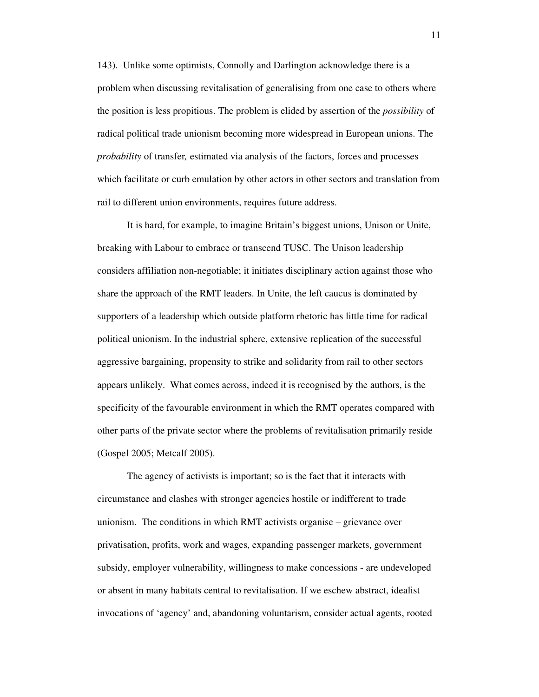143). Unlike some optimists, Connolly and Darlington acknowledge there is a problem when discussing revitalisation of generalising from one case to others where the position is less propitious. The problem is elided by assertion of the *possibility* of radical political trade unionism becoming more widespread in European unions. The *probability* of transfer*,* estimated via analysis of the factors, forces and processes which facilitate or curb emulation by other actors in other sectors and translation from rail to different union environments, requires future address.

 It is hard, for example, to imagine Britain's biggest unions, Unison or Unite, breaking with Labour to embrace or transcend TUSC. The Unison leadership considers affiliation non-negotiable; it initiates disciplinary action against those who share the approach of the RMT leaders. In Unite, the left caucus is dominated by supporters of a leadership which outside platform rhetoric has little time for radical political unionism. In the industrial sphere, extensive replication of the successful aggressive bargaining, propensity to strike and solidarity from rail to other sectors appears unlikely. What comes across, indeed it is recognised by the authors, is the specificity of the favourable environment in which the RMT operates compared with other parts of the private sector where the problems of revitalisation primarily reside (Gospel 2005; Metcalf 2005).

 The agency of activists is important; so is the fact that it interacts with circumstance and clashes with stronger agencies hostile or indifferent to trade unionism. The conditions in which RMT activists organise – grievance over privatisation, profits, work and wages, expanding passenger markets, government subsidy, employer vulnerability, willingness to make concessions - are undeveloped or absent in many habitats central to revitalisation. If we eschew abstract, idealist invocations of 'agency' and, abandoning voluntarism, consider actual agents, rooted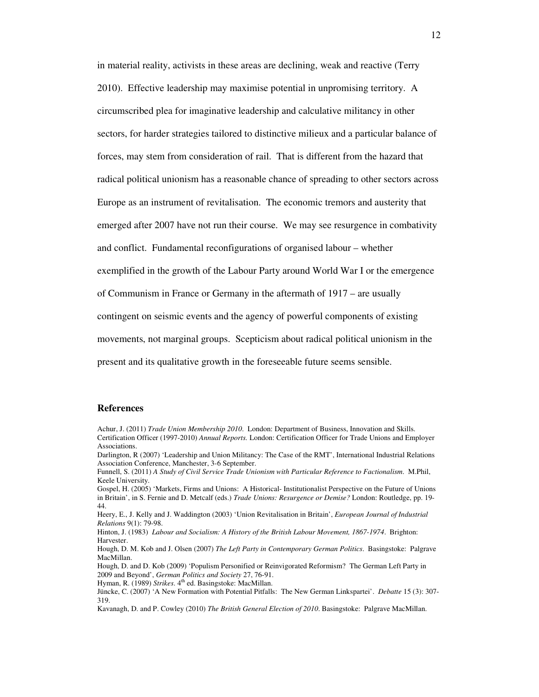in material reality, activists in these areas are declining, weak and reactive (Terry 2010). Effective leadership may maximise potential in unpromising territory. A circumscribed plea for imaginative leadership and calculative militancy in other sectors, for harder strategies tailored to distinctive milieux and a particular balance of forces, may stem from consideration of rail. That is different from the hazard that radical political unionism has a reasonable chance of spreading to other sectors across Europe as an instrument of revitalisation. The economic tremors and austerity that emerged after 2007 have not run their course. We may see resurgence in combativity and conflict. Fundamental reconfigurations of organised labour – whether exemplified in the growth of the Labour Party around World War I or the emergence of Communism in France or Germany in the aftermath of 1917 – are usually contingent on seismic events and the agency of powerful components of existing movements, not marginal groups. Scepticism about radical political unionism in the present and its qualitative growth in the foreseeable future seems sensible.

### **References**

Heery, E., J. Kelly and J. Waddington (2003) 'Union Revitalisation in Britain', *European Journal of Industrial Relations* 9(1): 79-98.

Hinton, J. (1983) *Labour and Socialism: A History of the British Labour Movement, 1867-1974*. Brighton: Harvester.

Hough, D. M. Kob and J. Olsen (2007) *The Left Party in Contemporary German Politics*. Basingstoke: Palgrave MacMillan.

Hough, D. and D. Kob (2009) 'Populism Personified or Reinvigorated Reformism? The German Left Party in 2009 and Beyond', *German Politics and Society* 27, 76-91.

Hyman, R. (1989) *Strikes*. 4<sup>th</sup> ed. Basingstoke: MacMillan.

Achur, J. (2011) *Trade Union Membership 2010*. London: Department of Business, Innovation and Skills. Certification Officer (1997-2010) *Annual Reports.* London: Certification Officer for Trade Unions and Employer Associations.

Darlington, R (2007) 'Leadership and Union Militancy: The Case of the RMT', International Industrial Relations Association Conference, Manchester, 3-6 September.

Funnell, S. (2011) *A Study of Civil Service Trade Unionism with Particular Reference to Factionalism*. M.Phil, Keele University.

Gospel, H. (2005) 'Markets, Firms and Unions: A Historical- Institutionalist Perspective on the Future of Unions in Britain', in S. Fernie and D. Metcalf (eds.) *Trade Unions: Resurgence or Demise?* London: Routledge, pp. 19- 44.

Jüncke, C. (2007) 'A New Formation with Potential Pitfalls: The New German Linkspartei'. *Debatte* 15 (3): 307- 319.

Kavanagh, D. and P. Cowley (2010) *The British General Election of 2010*. Basingstoke: Palgrave MacMillan.